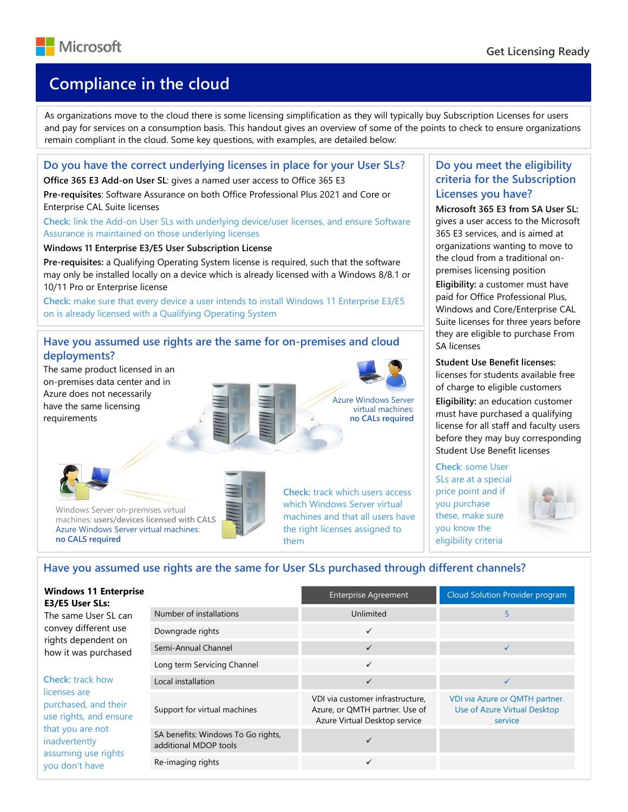

# Available SQL Server 2019 editions **Compliance in the cloud**

As organizations move to the cloud there is some licensing simplification as they will typically buy Subscription Licenses for users and pay for services on a consumption basis. This handout gives an overview of some of the points to check to ensure organizations remain compliant in the cloud. Some key questions, with examples, are detailed below:

## **Do you have the correct underlying licenses in place for your User SLs?**

**Office 365 E3 Add-on User SL**: gives a named user access to Office 365 E3

**Pre-requisites**: Software Assurance on both Office Professional Plus 2021 and Core or Enterprise CAL Suite licenses

**Check:** link the Add-on User SLs with underlying device/user licenses, and ensure Software Assurance is maintained on those underlying licenses

**Windows 11 Enterprise E3/E5 User Subscription License**

**Pre-requisites:** a Qualifying Operating System license is required, such that the software may only be installed locally on a device which is already licensed with a Windows 8/8.1 or 10/11 Pro or Enterprise license

**Check:** make sure that every device a user intends to install Windows 11 Enterprise E3/E5 on is already licensed with a Qualifying Operating System

## **Have you assumed use rights are the same for on-premises and cloud deployments?**

The same product licensed in an on-premises data center and in Azure does not necessarily have the same licensing requirements

Windows Server on-premises virtual machines: **users/devices licensed with CALS** Azure Windows Server virtual machines:



Azure Windows Server virtual machines: **no CALs required**



# **Do you meet the eligibility criteria for the Subscription Licenses you have?**

**Microsoft 365 E3 from SA User SL:** gives a user access to the Microsoft 365 E3 services, and is aimed at organizations wanting to move to the cloud from a traditional onpremises licensing position **Eligibility:** a customer must have paid for Office Professional Plus, Windows and Core/Enterprise CAL Suite licenses for three years before they are eligible to purchase From SA licenses

## **Student Use Benefit licenses:**

licenses for students available free of charge to eligible customers **Eligibility:** an education customer must have purchased a qualifying license for all staff and faculty users before they may buy corresponding Student Use Benefit licenses

## **Check**: some User

SLs are at a special price point and if you purchase these, make sure you know the eligibility criteria



# **Have you assumed use rights are the same for User SLs purchased through different channels?**

**E3/E5 User SLs:** The same User SL can convey different use rights dependent on how it was purchased

**Windows 11 Enterprise** 

**no CALS required**

**Check:** track how licenses are purchased, and their use rights, and ensure that you are not inadvertently assuming use rights you don't have

|                                                             | <b>Enterprise Agreement</b>                                                                         | Cloud Solution Provider program                                           |
|-------------------------------------------------------------|-----------------------------------------------------------------------------------------------------|---------------------------------------------------------------------------|
| Number of installations                                     | Unlimited                                                                                           | 5                                                                         |
| Downgrade rights                                            | $\checkmark$                                                                                        |                                                                           |
| Semi-Annual Channel                                         | $\checkmark$                                                                                        |                                                                           |
| Long term Servicing Channel                                 | $\checkmark$                                                                                        |                                                                           |
| Local installation                                          | $\checkmark$                                                                                        | ✓                                                                         |
| Support for virtual machines                                | VDI via customer infrastructure,<br>Azure, or QMTH partner. Use of<br>Azure Virtual Desktop service | VDI via Azure or QMTH partner.<br>Use of Azure Virtual Desktop<br>service |
| SA benefits: Windows To Go rights,<br>additional MDOP tools |                                                                                                     |                                                                           |
| Re-imaging rights                                           | $\checkmark$                                                                                        |                                                                           |